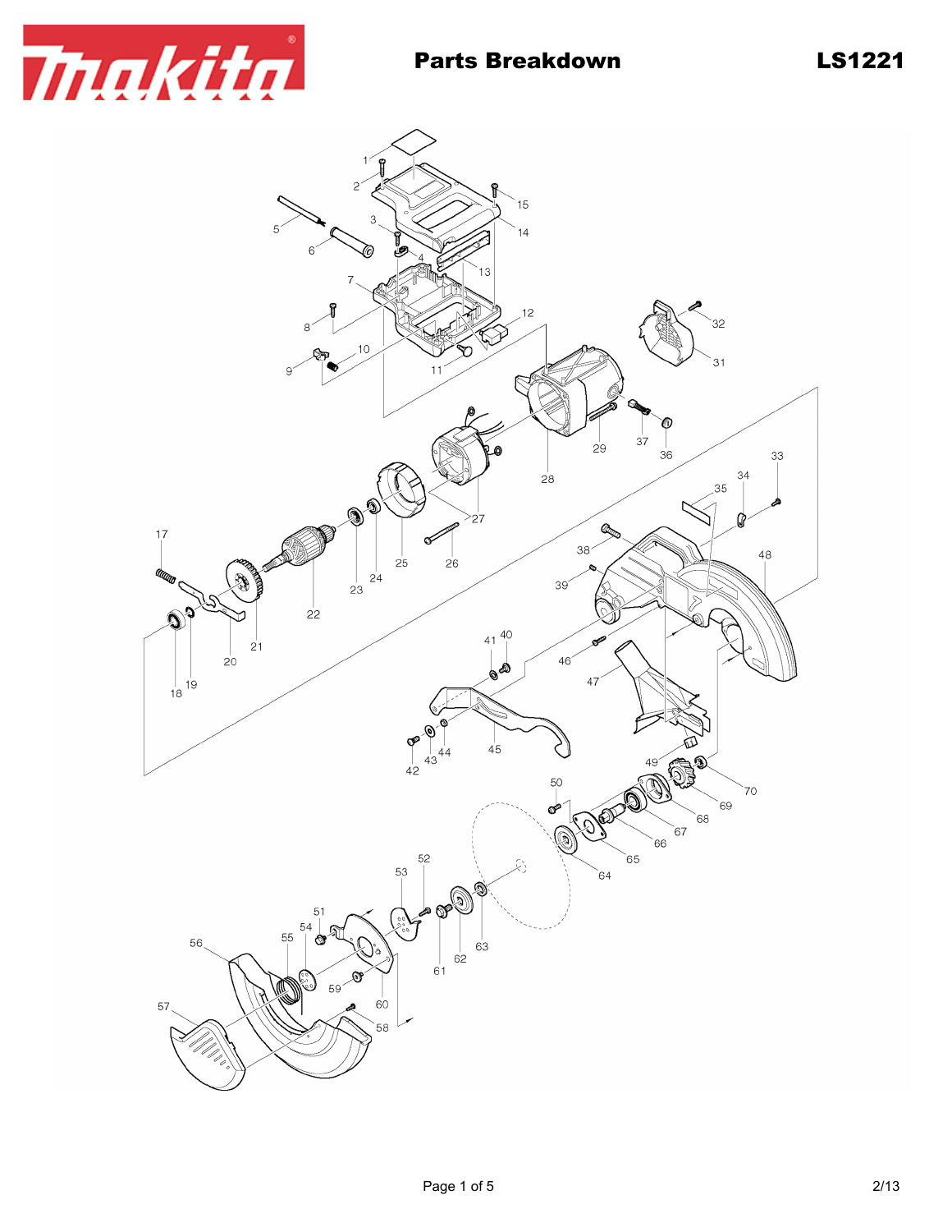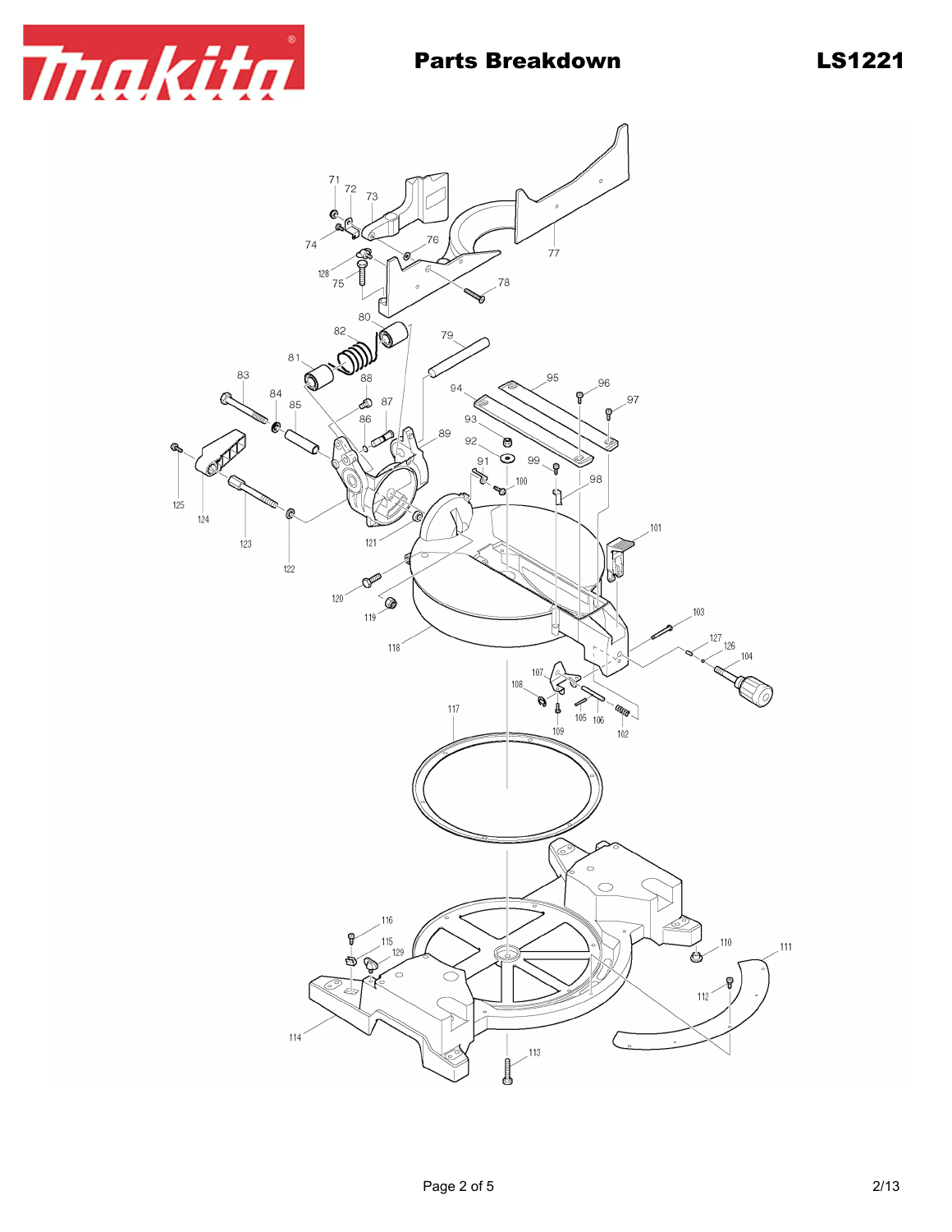

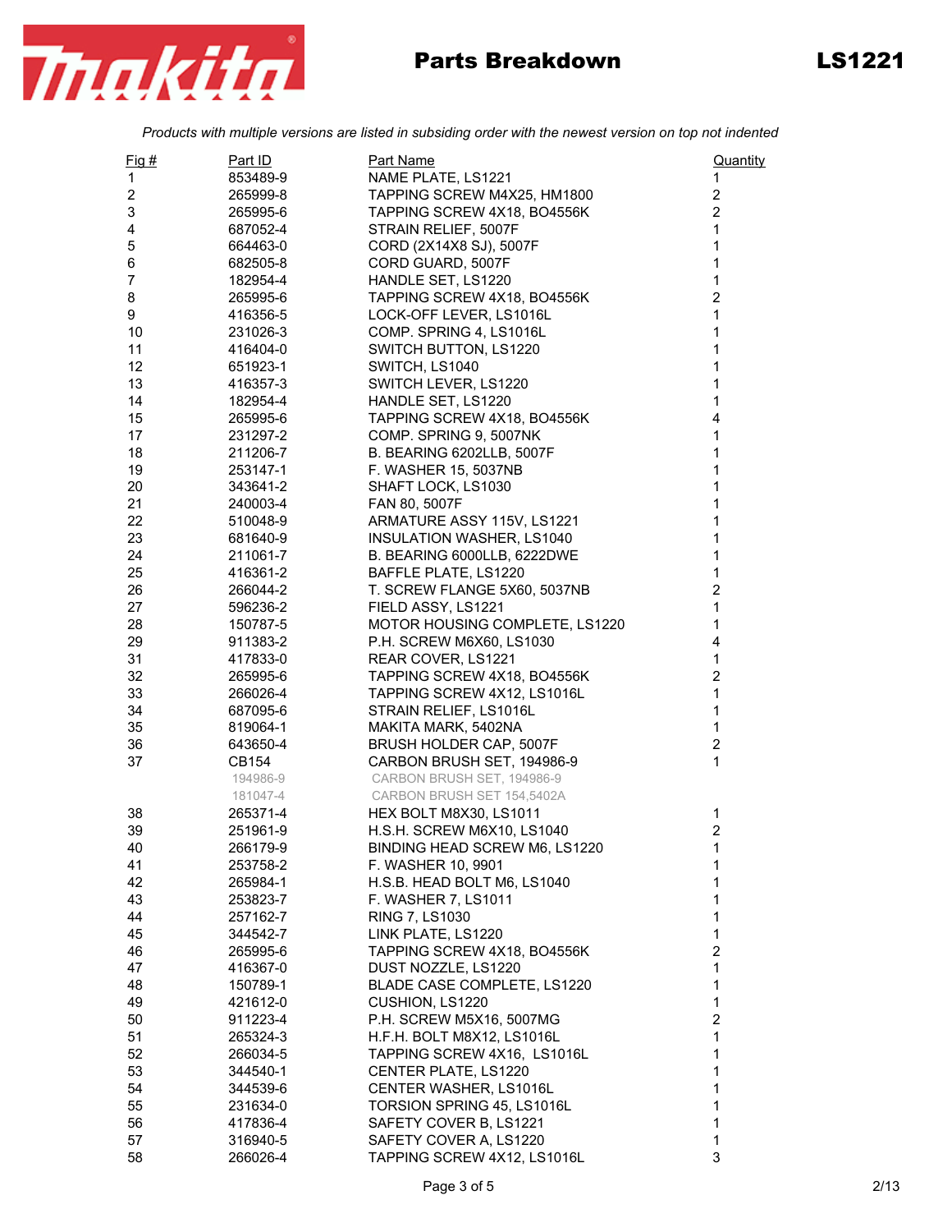

*Products with multiple versions are listed in subsiding order with the newest version on top not indented*

| $Fig. \#$               | Part ID  | Part Name                        | Quantity                |
|-------------------------|----------|----------------------------------|-------------------------|
| 1                       | 853489-9 | NAME PLATE, LS1221               | 1                       |
| $\overline{\mathbf{c}}$ | 265999-8 | TAPPING SCREW M4X25, HM1800      | $\overline{\mathbf{c}}$ |
| 3                       | 265995-6 | TAPPING SCREW 4X18, BO4556K      | $\overline{c}$          |
| 4                       | 687052-4 | STRAIN RELIEF, 5007F             | $\mathbf{1}$            |
| 5                       | 664463-0 | CORD (2X14X8 SJ), 5007F          | 1                       |
| 6                       | 682505-8 | CORD GUARD, 5007F                | 1                       |
| $\overline{7}$          | 182954-4 | HANDLE SET, LS1220               | $\mathbf{1}$            |
| 8                       | 265995-6 | TAPPING SCREW 4X18, BO4556K      | $\overline{\mathbf{c}}$ |
| 9                       | 416356-5 | LOCK-OFF LEVER, LS1016L          | 1                       |
| 10                      | 231026-3 | COMP. SPRING 4, LS1016L          | 1                       |
| 11                      | 416404-0 | SWITCH BUTTON, LS1220            | 1                       |
| 12                      | 651923-1 | SWITCH, LS1040                   | 1                       |
| 13                      | 416357-3 | SWITCH LEVER, LS1220             | 1                       |
| 14                      | 182954-4 | HANDLE SET, LS1220               | 1                       |
| 15                      | 265995-6 | TAPPING SCREW 4X18, BO4556K      | 4                       |
| 17                      | 231297-2 | COMP. SPRING 9, 5007NK           | 1                       |
| 18                      | 211206-7 | <b>B. BEARING 6202LLB, 5007F</b> | 1                       |
| 19                      | 253147-1 | F. WASHER 15, 5037NB             | 1                       |
| 20                      | 343641-2 | SHAFT LOCK, LS1030               | 1                       |
| 21                      | 240003-4 | FAN 80, 5007F                    | 1                       |
| 22                      | 510048-9 | ARMATURE ASSY 115V, LS1221       | 1                       |
| 23                      | 681640-9 | INSULATION WASHER, LS1040        | 1                       |
| 24                      | 211061-7 | B. BEARING 6000LLB, 6222DWE      | 1                       |
| 25                      | 416361-2 | BAFFLE PLATE, LS1220             | 1                       |
| 26                      | 266044-2 | T. SCREW FLANGE 5X60, 5037NB     | $\overline{c}$          |
| 27                      | 596236-2 | FIELD ASSY, LS1221               | $\mathbf 1$             |
| 28                      | 150787-5 | MOTOR HOUSING COMPLETE, LS1220   | 1                       |
| 29                      |          |                                  | 4                       |
| 31                      | 911383-2 | P.H. SCREW M6X60, LS1030         | $\mathbf 1$             |
| 32                      | 417833-0 | REAR COVER, LS1221               | $\overline{c}$          |
|                         | 265995-6 | TAPPING SCREW 4X18, BO4556K      |                         |
| 33                      | 266026-4 | TAPPING SCREW 4X12, LS1016L      | $\mathbf 1$             |
| 34                      | 687095-6 | STRAIN RELIEF, LS1016L           | $\mathbf 1$             |
| 35                      | 819064-1 | MAKITA MARK, 5402NA              | $\mathbf{1}$            |
| 36                      | 643650-4 | BRUSH HOLDER CAP, 5007F          | $\overline{\mathbf{c}}$ |
| 37                      | CB154    | CARBON BRUSH SET, 194986-9       | 1                       |
|                         | 194986-9 | CARBON BRUSH SET, 194986-9       |                         |
|                         | 181047-4 | CARBON BRUSH SET 154,5402A       |                         |
| 38                      | 265371-4 | HEX BOLT M8X30, LS1011           | $\mathbf{1}$            |
| 39                      | 251961-9 | H.S.H. SCREW M6X10, LS1040       | $\overline{\mathbf{c}}$ |
| 40                      | 266179-9 | BINDING HEAD SCREW M6, LS1220    | 1                       |
| 41                      | 253758-2 | F. WASHER 10, 9901               | 1                       |
| 42                      | 265984-1 | H.S.B. HEAD BOLT M6, LS1040      | 1                       |
| 43                      | 253823-7 | F. WASHER 7, LS1011              | 1                       |
| 44                      | 257162-7 | <b>RING 7, LS1030</b>            | 1                       |
| 45                      | 344542-7 | LINK PLATE, LS1220               | 1                       |
| 46                      | 265995-6 | TAPPING SCREW 4X18, BO4556K      | $\overline{\mathbf{c}}$ |
| 47                      | 416367-0 | DUST NOZZLE, LS1220              | 1                       |
| 48                      | 150789-1 | BLADE CASE COMPLETE, LS1220      | 1                       |
| 49                      | 421612-0 | CUSHION, LS1220                  | 1                       |
| 50                      | 911223-4 | P.H. SCREW M5X16, 5007MG         | $\overline{2}$          |
| 51                      | 265324-3 | H.F.H. BOLT M8X12, LS1016L       | 1                       |
| 52                      | 266034-5 | TAPPING SCREW 4X16, LS1016L      | 1                       |
| 53                      | 344540-1 | <b>CENTER PLATE, LS1220</b>      | 1                       |
| 54                      | 344539-6 | CENTER WASHER, LS1016L           | 1                       |
| 55                      | 231634-0 | TORSION SPRING 45, LS1016L       | 1                       |
| 56                      | 417836-4 | SAFETY COVER B, LS1221           | 1                       |
| 57                      | 316940-5 | SAFETY COVER A, LS1220           | 1                       |
| 58                      | 266026-4 | TAPPING SCREW 4X12, LS1016L      | 3                       |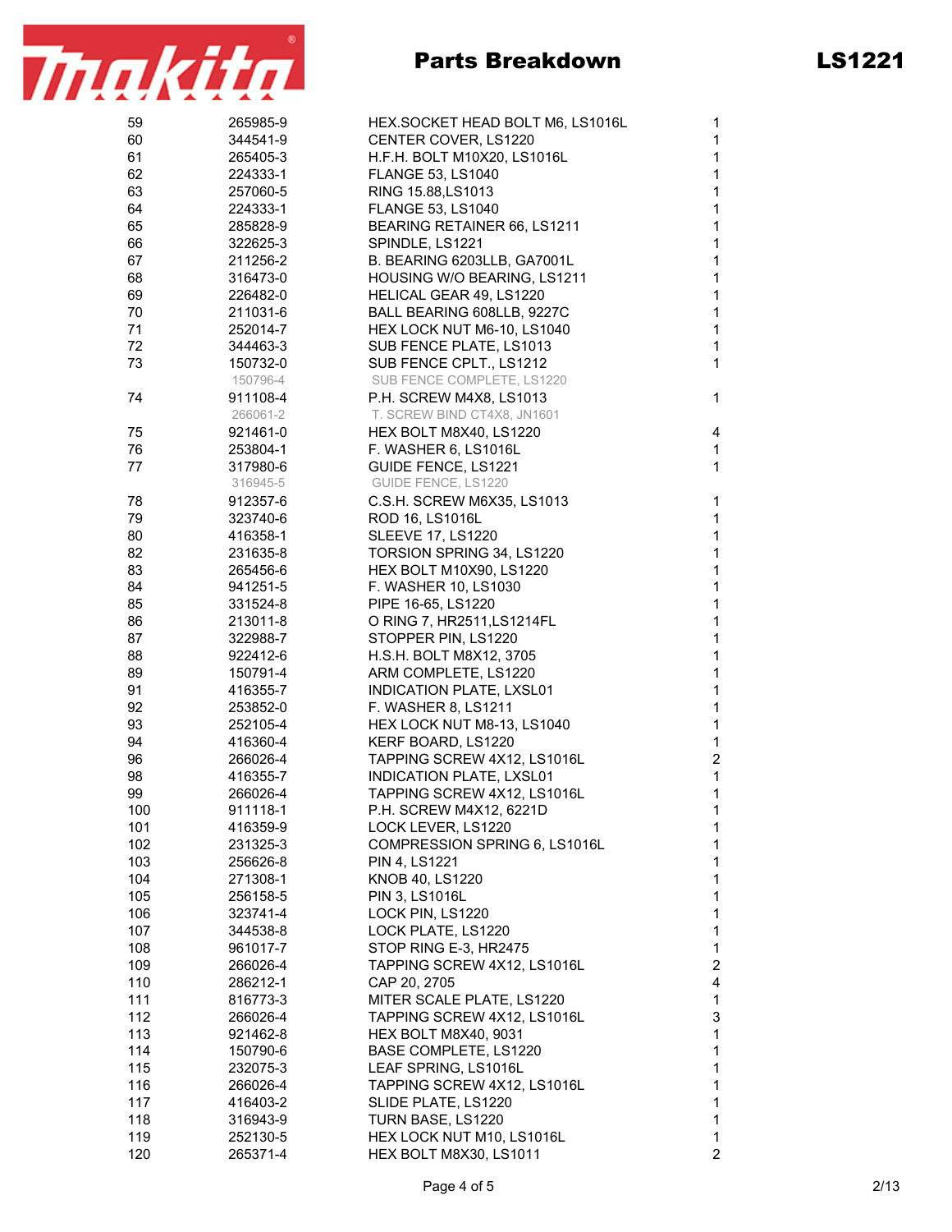

| 59  | 265985-9 | HEX.SOCKET HEAD BOLT M6, LS1016L                       | 1                           |
|-----|----------|--------------------------------------------------------|-----------------------------|
| 60  | 344541-9 | CENTER COVER, LS1220                                   | $\mathbf{1}$                |
| 61  | 265405-3 | H.F.H. BOLT M10X20, LS1016L                            | $\mathbf{1}$                |
| 62  | 224333-1 | <b>FLANGE 53, LS1040</b>                               | 1                           |
| 63  | 257060-5 | RING 15.88, LS1013                                     | $\mathbf{1}$                |
| 64  | 224333-1 | <b>FLANGE 53, LS1040</b>                               | $\mathbf 1$                 |
| 65  | 285828-9 | BEARING RETAINER 66, LS1211                            | $\mathbf{1}$                |
| 66  | 322625-3 | SPINDLE, LS1221                                        | $\mathbf{1}$                |
| 67  | 211256-2 | B. BEARING 6203LLB, GA7001L                            | $\mathbf{1}$                |
| 68  | 316473-0 | HOUSING W/O BEARING, LS1211                            | $\mathbf{1}$                |
| 69  | 226482-0 | HELICAL GEAR 49, LS1220                                | $\mathbf{1}$                |
| 70  | 211031-6 | BALL BEARING 608LLB, 9227C                             | $\mathbf 1$                 |
| 71  | 252014-7 | HEX LOCK NUT M6-10, LS1040                             | $\mathbf{1}$                |
| 72  | 344463-3 | SUB FENCE PLATE, LS1013                                | $\mathbf{1}$                |
| 73  | 150732-0 | SUB FENCE CPLT., LS1212                                | 1                           |
|     | 150796-4 | SUB FENCE COMPLETE, LS1220                             |                             |
| 74  | 911108-4 | P.H. SCREW M4X8, LS1013                                | 1                           |
|     | 266061-2 | T. SCREW BIND CT4X8, JN1601                            |                             |
| 75  | 921461-0 | HEX BOLT M8X40, LS1220                                 | 4                           |
| 76  | 253804-1 | F. WASHER 6, LS1016L                                   | 1                           |
| 77  | 317980-6 | GUIDE FENCE, LS1221                                    | 1                           |
|     | 316945-5 | GUIDE FENCE, LS1220                                    |                             |
| 78  | 912357-6 | C.S.H. SCREW M6X35, LS1013                             | 1                           |
| 79  | 323740-6 | ROD 16, LS1016L                                        | $\mathbf 1$                 |
| 80  | 416358-1 | <b>SLEEVE 17, LS1220</b>                               | $\mathbf 1$                 |
| 82  | 231635-8 | TORSION SPRING 34, LS1220                              | $\mathbf{1}$                |
| 83  | 265456-6 | <b>HEX BOLT M10X90, LS1220</b>                         | $\mathbf 1$                 |
| 84  | 941251-5 | F. WASHER 10, LS1030                                   | $\mathbf{1}$                |
| 85  | 331524-8 | PIPE 16-65, LS1220                                     | $\mathbf{1}$                |
| 86  | 213011-8 | O RING 7, HR2511, LS1214FL                             | $\mathbf{1}$                |
| 87  | 322988-7 |                                                        | $\mathbf{1}$                |
|     |          | STOPPER PIN, LS1220                                    | $\mathbf{1}$                |
| 88  | 922412-6 | H.S.H. BOLT M8X12, 3705                                | $\mathbf{1}$                |
| 89  | 150791-4 | ARM COMPLETE, LS1220                                   |                             |
| 91  | 416355-7 | <b>INDICATION PLATE, LXSL01</b><br>F. WASHER 8, LS1211 | 1<br>$\mathbf{1}$           |
| 92  | 253852-0 |                                                        |                             |
| 93  | 252105-4 | HEX LOCK NUT M8-13, LS1040                             | $\mathbf{1}$<br>$\mathbf 1$ |
| 94  | 416360-4 | KERF BOARD, LS1220                                     |                             |
| 96  | 266026-4 | TAPPING SCREW 4X12, LS1016L                            | $\boldsymbol{2}$            |
| 98  | 416355-7 | INDICATION PLATE, LXSL01                               | $\mathbf{1}$                |
| 99  | 266026-4 | TAPPING SCREW 4X12, LS1016L                            | $\mathbf{1}$                |
| 100 | 911118-1 | P.H. SCREW M4X12, 6221D                                | $\mathbf{1}$                |
| 101 | 416359-9 | LOCK LEVER, LS1220                                     | 1                           |
| 102 | 231325-3 | COMPRESSION SPRING 6, LS1016L                          | 1                           |
| 103 | 256626-8 | PIN 4, LS1221                                          | $\mathbf{1}$                |
| 104 | 271308-1 | KNOB 40, LS1220                                        | 1                           |
| 105 | 256158-5 | <b>PIN 3, LS1016L</b>                                  | $\mathbf{1}$                |
| 106 | 323741-4 | LOCK PIN, LS1220                                       | 1                           |
| 107 | 344538-8 | LOCK PLATE, LS1220                                     | 1                           |
| 108 | 961017-7 | STOP RING E-3, HR2475                                  | $\mathbf{1}$                |
| 109 | 266026-4 | TAPPING SCREW 4X12, LS1016L                            | $\boldsymbol{2}$            |
| 110 | 286212-1 | CAP 20, 2705                                           | 4                           |
| 111 | 816773-3 | MITER SCALE PLATE, LS1220                              | 1                           |
| 112 | 266026-4 | TAPPING SCREW 4X12, LS1016L                            | 3                           |
| 113 | 921462-8 | <b>HEX BOLT M8X40, 9031</b>                            | 1                           |
| 114 | 150790-6 | BASE COMPLETE, LS1220                                  | 1                           |
| 115 | 232075-3 | LEAF SPRING, LS1016L                                   | $\mathbf{1}$                |
| 116 | 266026-4 | TAPPING SCREW 4X12, LS1016L                            | $\mathbf{1}$                |
| 117 | 416403-2 | SLIDE PLATE, LS1220                                    | 1                           |
| 118 | 316943-9 | TURN BASE, LS1220                                      | 1                           |
| 119 | 252130-5 | HEX LOCK NUT M10, LS1016L                              | 1                           |
| 120 | 265371-4 | HEX BOLT M8X30, LS1011                                 | 2                           |